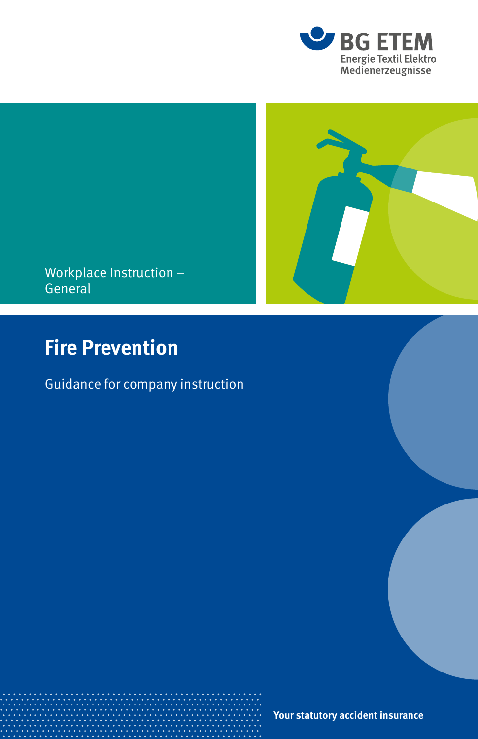

Workplace Instruction – General

# **Fire Prevention**

Guidance for company instruction

**Your statutory accident insurance**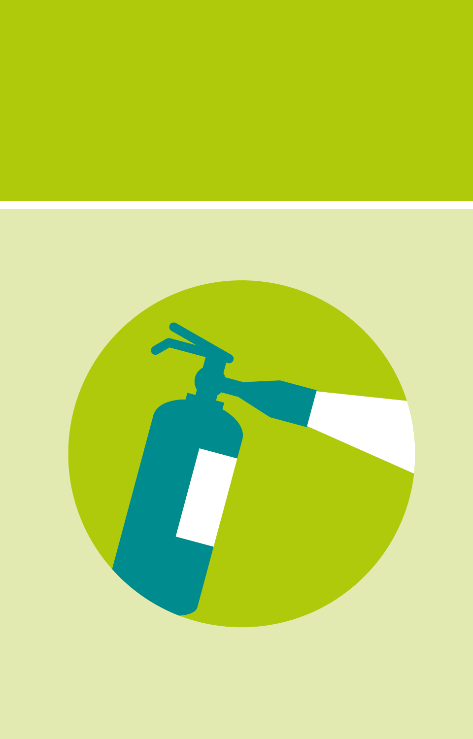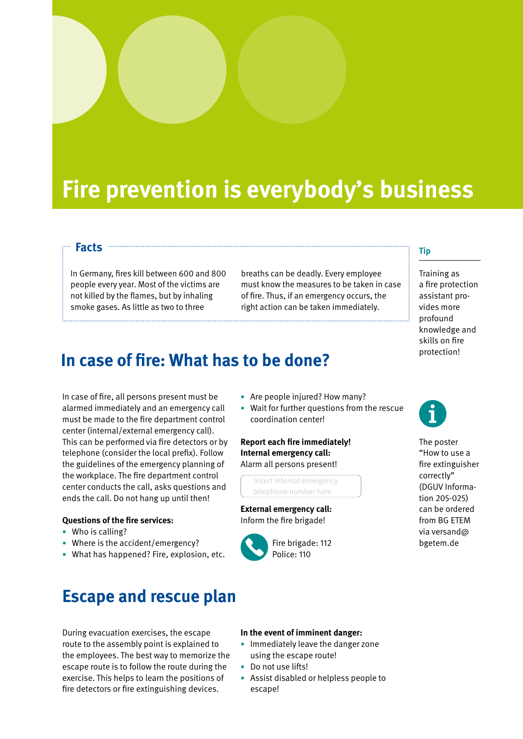# **Fire prevention is everybody's business**

### **Facts Tip**

In Germany, fires kill between 600 and 800 people every year. Most of the victims are not killed by the flames, but by inhaling smoke gases. As little as two to three

breaths can be deadly. Every employee must know the measures to be taken in case of fire. Thus, if an emergency occurs, the right action can be taken immediately.

Training as a fire protection assistant provides more profound knowledge and skills on fire protection!

### **In case of fire: What has to be done?**

In case of fire, all persons present must be alarmed immediately and an emergency call must be made to the fire department control center (internal/external emergency call). This can be performed via fire detectors or by telephone (consider the local prefix). Follow the guidelines of the emergency planning of the workplace. The fire department control center conducts the call, asks questions and ends the call. Do not hang up until then!

#### **Questions of the fire services:**

- Who is calling?
- Where is the accident/emergency?
- What has happened? Fire, explosion, etc.

### **Escape and rescue plan**

During evacuation exercises, the escape route to the assembly point is explained to the employees. The best way to memorize the escape route is to follow the route during the exercise. This helps to learn the positions of fire detectors or fire extinguishing devices.

#### • Are people injured? How many?

• Wait for further questions from the rescue coordination center!

#### **Report each fire immediately! Internal emergency call:**  Alarm all persons present!

Insert internal emergency telephone number here

#### **External emergency call:**  Inform the fire brigade!



The poster "How to use a fire extinguisher correctly" (DGUV Information 205-025) can be ordered from BG ETEM via versand@ bgetem.de



- Immediately leave the danger zone using the escape route!
- Do not use lifts!
- Assist disabled or helpless people to escape!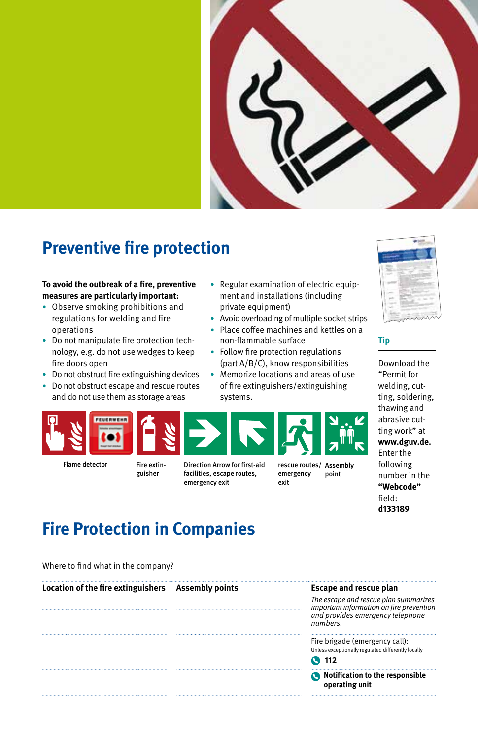

## **Preventive fire protection**

#### **To avoid the outbreak of a fire, preventive measures are particularly important:**

- Observe smoking prohibitions and regulations for welding and fire operations
- Do not manipulate fire protection technology, e.g. do not use wedges to keep fire doors open
- Do not obstruct fire extinguishing devices
- Do not obstruct escape and rescue routes and do not use them as storage areas
- Regular examination of electric equipment and installations (including private equipment)
- Avoid overloading of multiple socket strips
- Place coffee machines and kettles on a non-flammable surface
- Follow fire protection regulations (part A/B/C), know responsibilities
- Memorize locations and areas of use of fire extinguishers/extinguishing systems.



Flame detector Fire extin-

guisher

Direction Arrow for first-aid facilities, escape routes, emergency exit

rescue routes/ emergency exit Assembly point



#### **Tip**

Download the "Permit for welding, cutting, soldering, thawing and abrasive cutting work" at **www.dguv.de.**  Enter the following number in the **"Webcode"**  field: **d133189**

## **Fire Protection in Companies**

Where to find what in the company?

| Location of the fire extinguishers Assembly points | <b>Escape and rescue plan</b>                                                                                                     |
|----------------------------------------------------|-----------------------------------------------------------------------------------------------------------------------------------|
|                                                    | The escape and rescue plan summarizes<br>important information on fire prevention<br>and provides emergency telephone<br>numbers. |
|                                                    | Fire brigade (emergency call):<br>Unless exceptionally regulated differently locally                                              |
|                                                    | Notification to the responsible<br>operating unit                                                                                 |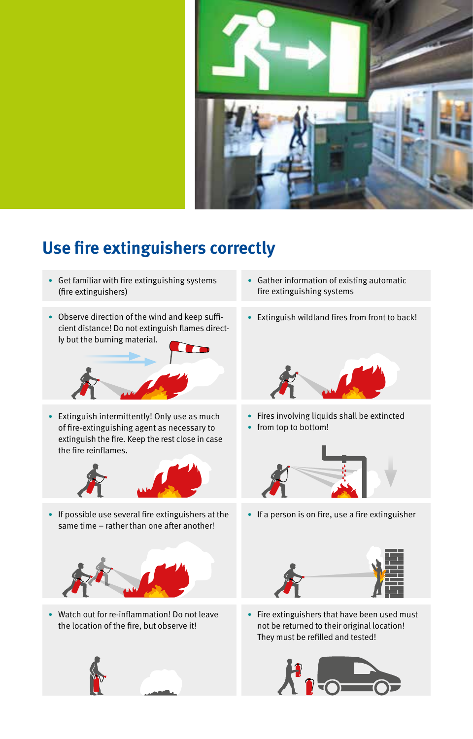

## **Use fire extinguishers correctly**

- Get familiar with fire extinguishing systems (fire extinguishers)
- Observe direction of the wind and keep sufficient distance! Do not extinguish flames directly but the burning material.



• Extinguish intermittently! Only use as much of fire-extinguishing agent as necessary to extinguish the fire. Keep the rest close in case the fire reinflames.



• If possible use several fire extinguishers at the same time – rather than one after another!



• Watch out for re-inflammation! Do not leave the location of the fire, but observe it!



- Gather information of existing automatic fire extinguishing systems
- Extinguish wildland fires from front to back!



- Fires involving liquids shall be extincted
- from top to bottom!



• If a person is on fire, use a fire extinguisher



• Fire extinguishers that have been used must not be returned to their original location! They must be refilled and tested!